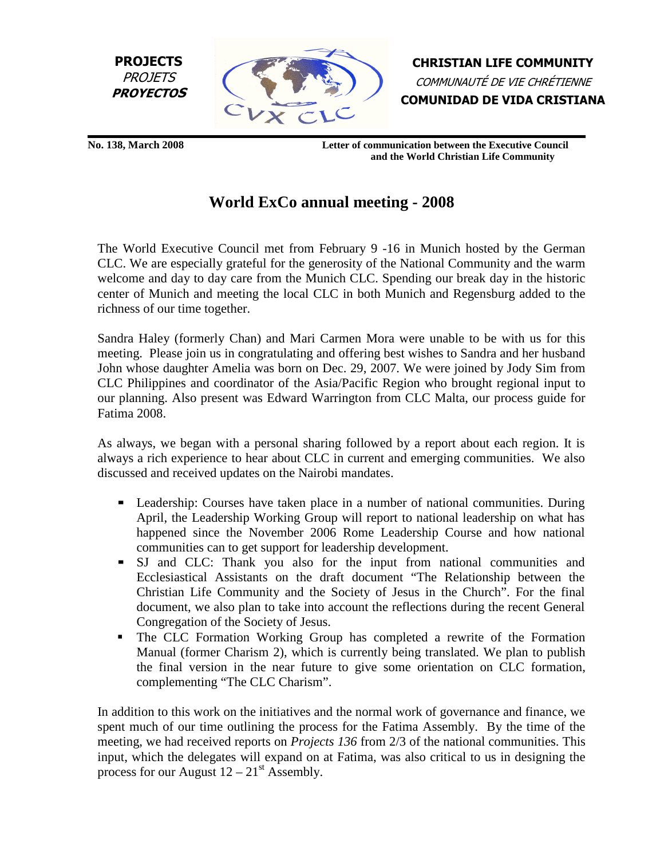



CHRISTIAN LIFE COMMUNITY COMMUNAUTÉ DE VIE CHRÉTIENNE COMUNIDAD DE VIDA CRISTIANA

**No. 138, March 2008 Letter of communication between the Executive Council and the World Christian Life Community**

## **World ExCo annual meeting - 2008**

The World Executive Council met from February 9 -16 in Munich hosted by the German CLC. We are especially grateful for the generosity of the National Community and the warm welcome and day to day care from the Munich CLC. Spending our break day in the historic center of Munich and meeting the local CLC in both Munich and Regensburg added to the richness of our time together.

Sandra Haley (formerly Chan) and Mari Carmen Mora were unable to be with us for this meeting. Please join us in congratulating and offering best wishes to Sandra and her husband John whose daughter Amelia was born on Dec. 29, 2007. We were joined by Jody Sim from CLC Philippines and coordinator of the Asia/Pacific Region who brought regional input to our planning. Also present was Edward Warrington from CLC Malta, our process guide for Fatima 2008.

As always, we began with a personal sharing followed by a report about each region. It is always a rich experience to hear about CLC in current and emerging communities. We also discussed and received updates on the Nairobi mandates.

- Leadership: Courses have taken place in a number of national communities. During April, the Leadership Working Group will report to national leadership on what has happened since the November 2006 Rome Leadership Course and how national communities can to get support for leadership development.
- SJ and CLC: Thank you also for the input from national communities and Ecclesiastical Assistants on the draft document "The Relationship between the Christian Life Community and the Society of Jesus in the Church". For the final document, we also plan to take into account the reflections during the recent General Congregation of the Society of Jesus.
- The CLC Formation Working Group has completed a rewrite of the Formation Manual (former Charism 2), which is currently being translated. We plan to publish the final version in the near future to give some orientation on CLC formation, complementing "The CLC Charism".

In addition to this work on the initiatives and the normal work of governance and finance, we spent much of our time outlining the process for the Fatima Assembly. By the time of the meeting, we had received reports on *Projects 136* from 2/3 of the national communities. This input, which the delegates will expand on at Fatima, was also critical to us in designing the process for our August  $12 - 21$ <sup>st</sup> Assembly.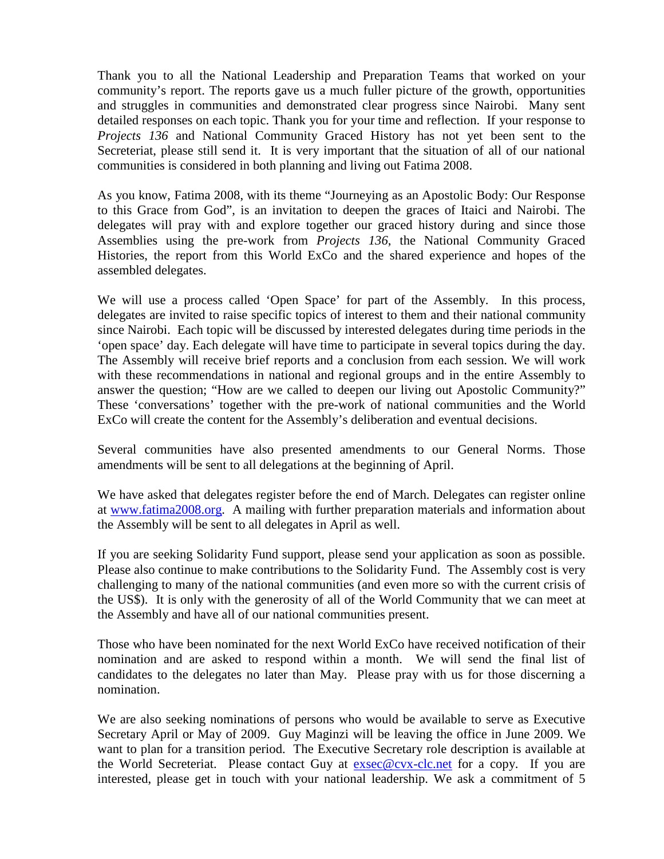Thank you to all the National Leadership and Preparation Teams that worked on your community's report. The reports gave us a much fuller picture of the growth, opportunities and struggles in communities and demonstrated clear progress since Nairobi. Many sent detailed responses on each topic. Thank you for your time and reflection. If your response to *Projects 136* and National Community Graced History has not yet been sent to the Secreteriat, please still send it. It is very important that the situation of all of our national communities is considered in both planning and living out Fatima 2008.

As you know, Fatima 2008, with its theme "Journeying as an Apostolic Body: Our Response to this Grace from God", is an invitation to deepen the graces of Itaici and Nairobi. The delegates will pray with and explore together our graced history during and since those Assemblies using the pre-work from *Projects 136*, the National Community Graced Histories, the report from this World ExCo and the shared experience and hopes of the assembled delegates.

We will use a process called 'Open Space' for part of the Assembly. In this process, delegates are invited to raise specific topics of interest to them and their national community since Nairobi. Each topic will be discussed by interested delegates during time periods in the 'open space' day. Each delegate will have time to participate in several topics during the day. The Assembly will receive brief reports and a conclusion from each session. We will work with these recommendations in national and regional groups and in the entire Assembly to answer the question; "How are we called to deepen our living out Apostolic Community?" These 'conversations' together with the pre-work of national communities and the World ExCo will create the content for the Assembly's deliberation and eventual decisions.

Several communities have also presented amendments to our General Norms. Those amendments will be sent to all delegations at the beginning of April.

We have asked that delegates register before the end of March. Delegates can register online at www.fatima2008.org. A mailing with further preparation materials and information about the Assembly will be sent to all delegates in April as well.

If you are seeking Solidarity Fund support, please send your application as soon as possible. Please also continue to make contributions to the Solidarity Fund. The Assembly cost is very challenging to many of the national communities (and even more so with the current crisis of the US\$). It is only with the generosity of all of the World Community that we can meet at the Assembly and have all of our national communities present.

Those who have been nominated for the next World ExCo have received notification of their nomination and are asked to respond within a month. We will send the final list of candidates to the delegates no later than May. Please pray with us for those discerning a nomination.

We are also seeking nominations of persons who would be available to serve as Executive Secretary April or May of 2009. Guy Maginzi will be leaving the office in June 2009. We want to plan for a transition period. The Executive Secretary role description is available at the World Secreteriat. Please contact Guy at exsec@cvx-clc.net for a copy. If you are interested, please get in touch with your national leadership. We ask a commitment of 5